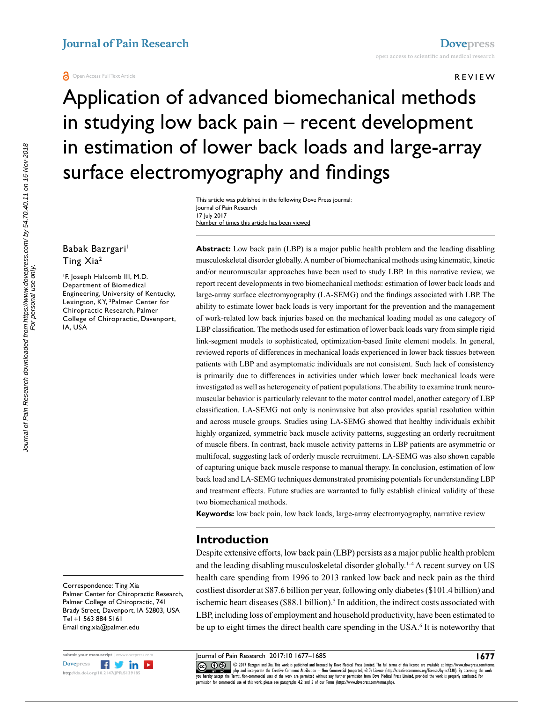#### **a** Open Access Full Text Article

REVIEW

Application of advanced biomechanical methods in studying low back pain – recent development in estimation of lower back loads and large-array surface electromyography and findings

> This article was published in the following Dove Press journal: Journal of Pain Research 17 July 2017 Number of times this article has been viewed

### Babak Bazrgari<sup>1</sup> Ting Xia2

1 F. Joseph Halcomb III, M.D. Department of Biomedical Engineering, University of Kentucky, Lexington, KY, 2 Palmer Center for Chiropractic Research, Palmer College of Chiropractic, Davenport, IA, USA

Correspondence: Ting Xia Palmer Center for Chiropractic Research, Palmer College of Chiropractic, 741 Brady Street, Davenport, IA 52803, USA Tel +1 563 884 5161 Email ting.xia@palmer.edu



**Abstract:** Low back pain (LBP) is a major public health problem and the leading disabling musculoskeletal disorder globally. A number of biomechanical methods using kinematic, kinetic and/or neuromuscular approaches have been used to study LBP. In this narrative review, we report recent developments in two biomechanical methods: estimation of lower back loads and large-array surface electromyography (LA-SEMG) and the findings associated with LBP. The ability to estimate lower back loads is very important for the prevention and the management of work-related low back injuries based on the mechanical loading model as one category of LBP classification. The methods used for estimation of lower back loads vary from simple rigid link-segment models to sophisticated, optimization-based finite element models. In general, reviewed reports of differences in mechanical loads experienced in lower back tissues between patients with LBP and asymptomatic individuals are not consistent. Such lack of consistency is primarily due to differences in activities under which lower back mechanical loads were investigated as well as heterogeneity of patient populations. The ability to examine trunk neuromuscular behavior is particularly relevant to the motor control model, another category of LBP classification. LA-SEMG not only is noninvasive but also provides spatial resolution within and across muscle groups. Studies using LA-SEMG showed that healthy individuals exhibit highly organized, symmetric back muscle activity patterns, suggesting an orderly recruitment of muscle fibers. In contrast, back muscle activity patterns in LBP patients are asymmetric or multifocal, suggesting lack of orderly muscle recruitment. LA-SEMG was also shown capable of capturing unique back muscle response to manual therapy. In conclusion, estimation of low back load and LA-SEMG techniques demonstrated promising potentials for understanding LBP and treatment effects. Future studies are warranted to fully establish clinical validity of these two biomechanical methods.

**Keywords:** low back pain, low back loads, large-array electromyography, narrative review

### **Introduction**

Despite extensive efforts, low back pain (LBP) persists as a major public health problem and the leading disabling musculoskeletal disorder globally.<sup>1-4</sup> A recent survey on US health care spending from 1996 to 2013 ranked low back and neck pain as the third costliest disorder at \$87.6 billion per year, following only diabetes (\$101.4 billion) and ischemic heart diseases  $(\$88.1$  billion).<sup>5</sup> In addition, the indirect costs associated with LBP, including loss of employment and household productivity, have been estimated to be up to eight times the direct health care spending in the USA.<sup>6</sup> It is noteworthy that

Journal of Pain Research 2017:10 1677–1685

**1677**

CC COS © 2017 Bazrgari and Xia. This work is published and licensed by Dove Medical Press Limited. The full terms of this license are available at https://www.dovepress.com/terms. www.com php and incorporate the Creative Commons Attribution — Non Commercial (unported, v3.0) License (http://creativecommons.org/licenses/by-nc/3.0/). By accessing the work<br>[you hereby accept the T](http://www.dovepress.com/permissions.php)erms. Non-commercial use permission for commercial use of this work, please see paragraphs 4.2 and 5 of our Terms (https://www.dovepress.com/terms.php).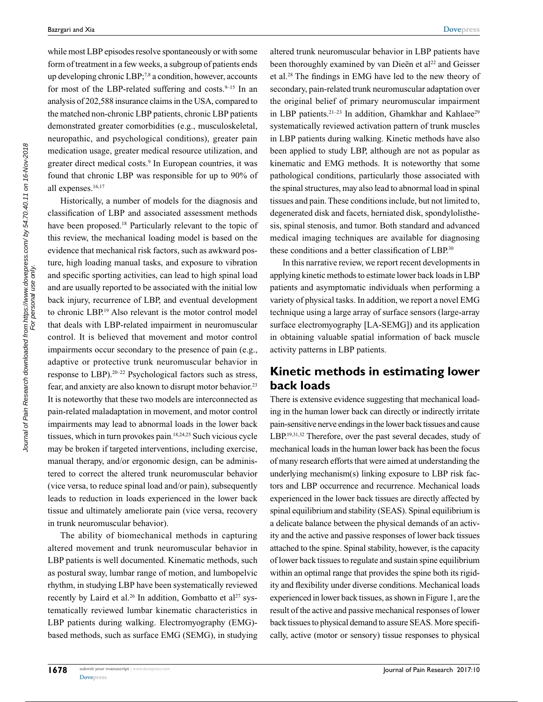Journal of Pain Research downloaded from https://www.dovepress.com/ by 54.70.40.11 on 16-Nov-2018<br>For personal use only. Journal of Pain Research downloaded from https://www.dovepress.com/ by 54.70.40.11 on 16-Nov-2018 For personal use only.

while most LBP episodes resolve spontaneously or with some form of treatment in a few weeks, a subgroup of patients ends up developing chronic LBP;<sup>7,8</sup> a condition, however, accounts for most of the LBP-related suffering and costs. $9-15$  In an analysis of 202,588 insurance claims in the USA, compared to the matched non-chronic LBP patients, chronic LBP patients demonstrated greater comorbidities (e.g., musculoskeletal, neuropathic, and psychological conditions), greater pain medication usage, greater medical resource utilization, and greater direct medical costs.<sup>9</sup> In European countries, it was found that chronic LBP was responsible for up to 90% of all expenses.<sup>16,17</sup>

Historically, a number of models for the diagnosis and classification of LBP and associated assessment methods have been proposed.<sup>18</sup> Particularly relevant to the topic of this review, the mechanical loading model is based on the evidence that mechanical risk factors, such as awkward posture, high loading manual tasks, and exposure to vibration and specific sporting activities, can lead to high spinal load and are usually reported to be associated with the initial low back injury, recurrence of LBP, and eventual development to chronic LBP.19 Also relevant is the motor control model that deals with LBP-related impairment in neuromuscular control. It is believed that movement and motor control impairments occur secondary to the presence of pain (e.g., adaptive or protective trunk neuromuscular behavior in response to LBP).20–22 Psychological factors such as stress, fear, and anxiety are also known to disrupt motor behavior.<sup>23</sup> It is noteworthy that these two models are interconnected as pain-related maladaptation in movement, and motor control impairments may lead to abnormal loads in the lower back tissues, which in turn provokes pain. 18,24,25 Such vicious cycle may be broken if targeted interventions, including exercise, manual therapy, and/or ergonomic design, can be administered to correct the altered trunk neuromuscular behavior (vice versa, to reduce spinal load and/or pain), subsequently leads to reduction in loads experienced in the lower back tissue and ultimately ameliorate pain (vice versa, recovery in trunk neuromuscular behavior).

The ability of biomechanical methods in capturing altered movement and trunk neuromuscular behavior in LBP patients is well documented. Kinematic methods, such as postural sway, lumbar range of motion, and lumbopelvic rhythm, in studying LBP have been systematically reviewed recently by Laird et al.<sup>26</sup> In addition, Gombatto et al<sup>27</sup> systematically reviewed lumbar kinematic characteristics in LBP patients during walking. Electromyography (EMG) based methods, such as surface EMG (SEMG), in studying altered trunk neuromuscular behavior in LBP patients have been thoroughly examined by van Dieën et al<sup>22</sup> and Geisser et al.28 The findings in EMG have led to the new theory of secondary, pain-related trunk neuromuscular adaptation over the original belief of primary neuromuscular impairment in LBP patients.<sup>21-23</sup> In addition, Ghamkhar and Kahlaee<sup>29</sup> systematically reviewed activation pattern of trunk muscles in LBP patients during walking. Kinetic methods have also been applied to study LBP, although are not as popular as kinematic and EMG methods. It is noteworthy that some pathological conditions, particularly those associated with the spinal structures, may also lead to abnormal load in spinal tissues and pain. These conditions include, but not limited to, degenerated disk and facets, herniated disk, spondylolisthesis, spinal stenosis, and tumor. Both standard and advanced medical imaging techniques are available for diagnosing these conditions and a better classification of LBP.<sup>30</sup>

In this narrative review, we report recent developments in applying kinetic methods to estimate lower back loads in LBP patients and asymptomatic individuals when performing a variety of physical tasks. In addition, we report a novel EMG technique using a large array of surface sensors (large-array surface electromyography [LA-SEMG]) and its application in obtaining valuable spatial information of back muscle activity patterns in LBP patients.

# **Kinetic methods in estimating lower back loads**

There is extensive evidence suggesting that mechanical loading in the human lower back can directly or indirectly irritate pain-sensitive nerve endings in the lower back tissues and cause LBP.19,31,32 Therefore, over the past several decades, study of mechanical loads in the human lower back has been the focus of many research efforts that were aimed at understanding the underlying mechanism(s) linking exposure to LBP risk factors and LBP occurrence and recurrence. Mechanical loads experienced in the lower back tissues are directly affected by spinal equilibrium and stability (SEAS). Spinal equilibrium is a delicate balance between the physical demands of an activity and the active and passive responses of lower back tissues attached to the spine. Spinal stability, however, is the capacity of lower back tissues to regulate and sustain spine equilibrium within an optimal range that provides the spine both its rigidity and flexibility under diverse conditions. Mechanical loads experienced in lower back tissues, as shown in Figure 1, are the result of the active and passive mechanical responses of lower back tissues to physical demand to assure SEAS. More specifically, active (motor or sensory) tissue responses to physical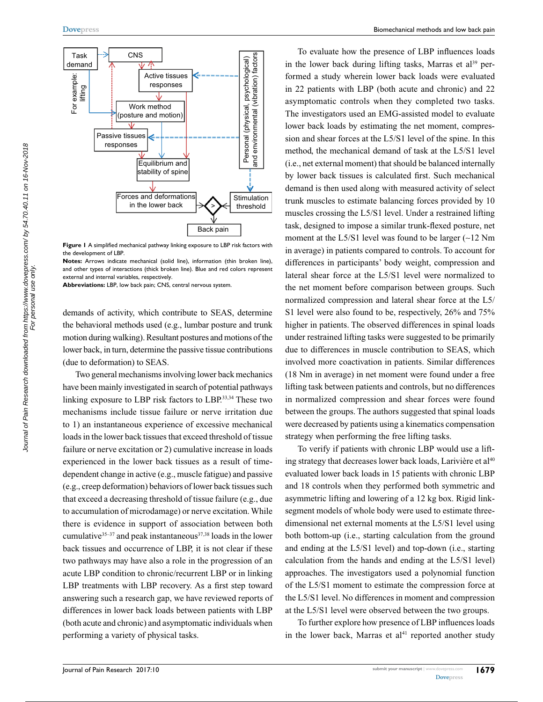

**Figure 1** A simplified mechanical pathway linking exposure to LBP risk factors with the development of LBP.

**Notes:** Arrows indicate mechanical (solid line), information (thin broken line), and other types of interactions (thick broken line). Blue and red colors represent external and internal variables, respectively.

**Abbreviations:** LBP, low back pain; CNS, central nervous system.

demands of activity, which contribute to SEAS, determine the behavioral methods used (e.g., lumbar posture and trunk motion during walking). Resultant postures and motions of the lower back, in turn, determine the passive tissue contributions (due to deformation) to SEAS.

Two general mechanisms involving lower back mechanics have been mainly investigated in search of potential pathways linking exposure to LBP risk factors to LBP.33,34 These two mechanisms include tissue failure or nerve irritation due to 1) an instantaneous experience of excessive mechanical loads in the lower back tissues that exceed threshold of tissue failure or nerve excitation or 2) cumulative increase in loads experienced in the lower back tissues as a result of timedependent change in active (e.g., muscle fatigue) and passive (e.g., creep deformation) behaviors of lower back tissues such that exceed a decreasing threshold of tissue failure (e.g., due to accumulation of microdamage) or nerve excitation. While there is evidence in support of association between both cumulative $35-37$  and peak instantaneous $37,38$  loads in the lower back tissues and occurrence of LBP, it is not clear if these two pathways may have also a role in the progression of an acute LBP condition to chronic/recurrent LBP or in linking LBP treatments with LBP recovery. As a first step toward answering such a research gap, we have reviewed reports of differences in lower back loads between patients with LBP (both acute and chronic) and asymptomatic individuals when performing a variety of physical tasks.

To evaluate how the presence of LBP influences loads in the lower back during lifting tasks, Marras et  $al<sup>39</sup>$  performed a study wherein lower back loads were evaluated in 22 patients with LBP (both acute and chronic) and 22 asymptomatic controls when they completed two tasks. The investigators used an EMG-assisted model to evaluate lower back loads by estimating the net moment, compression and shear forces at the L5/S1 level of the spine. In this method, the mechanical demand of task at the L5/S1 level (i.e., net external moment) that should be balanced internally by lower back tissues is calculated first. Such mechanical demand is then used along with measured activity of select trunk muscles to estimate balancing forces provided by 10 muscles crossing the L5/S1 level. Under a restrained lifting task, designed to impose a similar trunk-flexed posture, net moment at the L5/S1 level was found to be larger (~12 Nm in average) in patients compared to controls. To account for differences in participants' body weight, compression and lateral shear force at the L5/S1 level were normalized to the net moment before comparison between groups. Such normalized compression and lateral shear force at the L5/ S1 level were also found to be, respectively, 26% and 75% higher in patients. The observed differences in spinal loads under restrained lifting tasks were suggested to be primarily due to differences in muscle contribution to SEAS, which involved more coactivation in patients. Similar differences (18 Nm in average) in net moment were found under a free lifting task between patients and controls, but no differences in normalized compression and shear forces were found between the groups. The authors suggested that spinal loads were decreased by patients using a kinematics compensation strategy when performing the free lifting tasks.

To verify if patients with chronic LBP would use a lifting strategy that decreases lower back loads, Larivière et al<sup>40</sup> evaluated lower back loads in 15 patients with chronic LBP and 18 controls when they performed both symmetric and asymmetric lifting and lowering of a 12 kg box. Rigid linksegment models of whole body were used to estimate threedimensional net external moments at the L5/S1 level using both bottom-up (i.e., starting calculation from the ground and ending at the L5/S1 level) and top-down (i.e., starting calculation from the hands and ending at the L5/S1 level) approaches. The investigators used a polynomial function of the L5/S1 moment to estimate the compression force at the L5/S1 level. No differences in moment and compression at the L5/S1 level were observed between the two groups.

To further explore how presence of LBP influences loads in the lower back, Marras et  $aI<sup>41</sup>$  reported another study

**Journal of Pain Research 2017:10 Submit your manuscript**   $\frac{1}{2}$  submit your manuscript **in the submit your manuscript**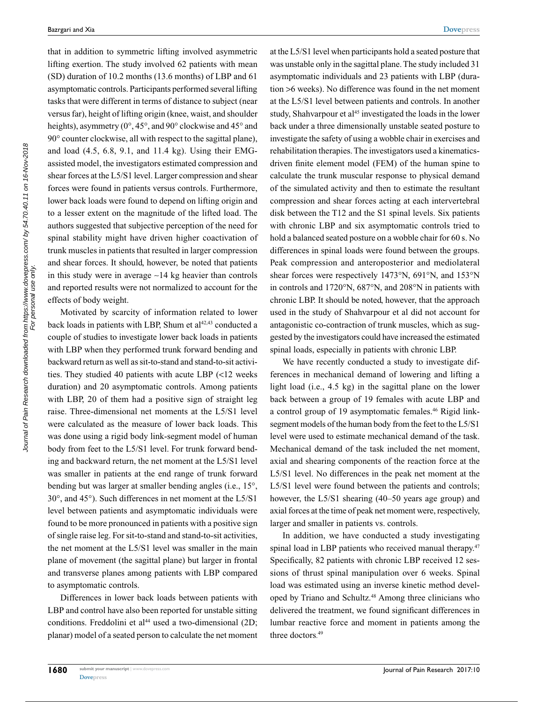that in addition to symmetric lifting involved asymmetric lifting exertion. The study involved 62 patients with mean (SD) duration of 10.2 months (13.6 months) of LBP and 61 asymptomatic controls. Participants performed several lifting tasks that were different in terms of distance to subject (near versus far), height of lifting origin (knee, waist, and shoulder heights), asymmetry (0°, 45°, and 90° clockwise and 45° and 90° counter clockwise, all with respect to the sagittal plane), and load (4.5, 6.8, 9.1, and 11.4 kg). Using their EMGassisted model, the investigators estimated compression and shear forces at the L5/S1 level. Larger compression and shear forces were found in patients versus controls. Furthermore, lower back loads were found to depend on lifting origin and to a lesser extent on the magnitude of the lifted load. The authors suggested that subjective perception of the need for spinal stability might have driven higher coactivation of trunk muscles in patients that resulted in larger compression and shear forces. It should, however, be noted that patients in this study were in average  $\sim$  14 kg heavier than controls and reported results were not normalized to account for the effects of body weight.

Motivated by scarcity of information related to lower back loads in patients with LBP, Shum et al<sup>42,43</sup> conducted a couple of studies to investigate lower back loads in patients with LBP when they performed trunk forward bending and backward return as well as sit-to-stand and stand-to-sit activities. They studied 40 patients with acute LBP (<12 weeks duration) and 20 asymptomatic controls. Among patients with LBP, 20 of them had a positive sign of straight leg raise. Three-dimensional net moments at the L5/S1 level were calculated as the measure of lower back loads. This was done using a rigid body link-segment model of human body from feet to the L5/S1 level. For trunk forward bending and backward return, the net moment at the L5/S1 level was smaller in patients at the end range of trunk forward bending but was larger at smaller bending angles (i.e., 15°, 30°, and 45°). Such differences in net moment at the L5/S1 level between patients and asymptomatic individuals were found to be more pronounced in patients with a positive sign of single raise leg. For sit-to-stand and stand-to-sit activities, the net moment at the L5/S1 level was smaller in the main plane of movement (the sagittal plane) but larger in frontal and transverse planes among patients with LBP compared to asymptomatic controls.

Differences in lower back loads between patients with LBP and control have also been reported for unstable sitting conditions. Freddolini et al<sup>44</sup> used a two-dimensional (2D; planar) model of a seated person to calculate the net moment at the L5/S1 level when participants hold a seated posture that was unstable only in the sagittal plane. The study included 31 asymptomatic individuals and 23 patients with LBP (duration >6 weeks). No difference was found in the net moment at the L5/S1 level between patients and controls. In another study, Shahvarpour et al<sup>45</sup> investigated the loads in the lower back under a three dimensionally unstable seated posture to investigate the safety of using a wobble chair in exercises and rehabilitation therapies. The investigators used a kinematicsdriven finite element model (FEM) of the human spine to calculate the trunk muscular response to physical demand of the simulated activity and then to estimate the resultant compression and shear forces acting at each intervertebral disk between the T12 and the S1 spinal levels. Six patients with chronic LBP and six asymptomatic controls tried to hold a balanced seated posture on a wobble chair for 60 s. No differences in spinal loads were found between the groups. Peak compression and anteroposterior and mediolateral shear forces were respectively 1473°N, 691°N, and 153°N in controls and 1720°N, 687°N, and 208°N in patients with chronic LBP. It should be noted, however, that the approach used in the study of Shahvarpour et al did not account for antagonistic co-contraction of trunk muscles, which as suggested by the investigators could have increased the estimated spinal loads, especially in patients with chronic LBP.

We have recently conducted a study to investigate differences in mechanical demand of lowering and lifting a light load (i.e., 4.5 kg) in the sagittal plane on the lower back between a group of 19 females with acute LBP and a control group of 19 asymptomatic females.<sup>46</sup> Rigid linksegment models of the human body from the feet to the L5/S1 level were used to estimate mechanical demand of the task. Mechanical demand of the task included the net moment, axial and shearing components of the reaction force at the L5/S1 level. No differences in the peak net moment at the L5/S1 level were found between the patients and controls; however, the L5/S1 shearing (40–50 years age group) and axial forces at the time of peak net moment were, respectively, larger and smaller in patients vs. controls.

In addition, we have conducted a study investigating spinal load in LBP patients who received manual therapy.<sup>47</sup> Specifically, 82 patients with chronic LBP received 12 sessions of thrust spinal manipulation over 6 weeks. Spinal load was estimated using an inverse kinetic method developed by Triano and Schultz.48 Among three clinicians who delivered the treatment, we found significant differences in lumbar reactive force and moment in patients among the three doctors. 49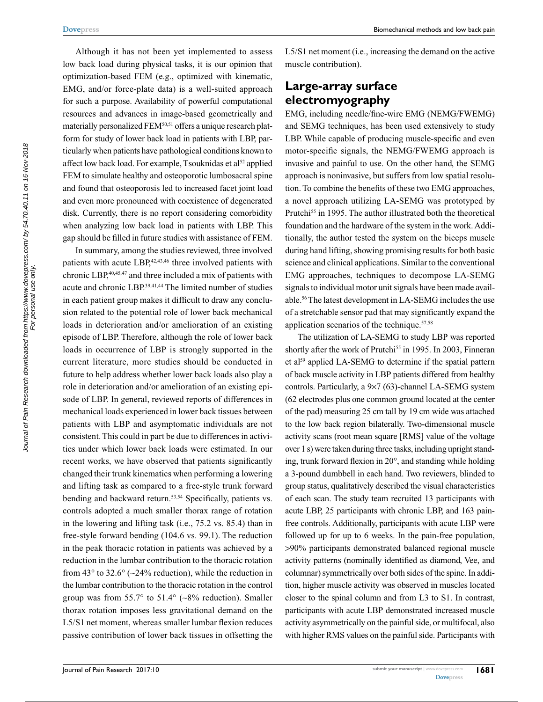Although it has not been yet implemented to assess low back load during physical tasks, it is our opinion that optimization-based FEM (e.g., optimized with kinematic, EMG, and/or force-plate data) is a well-suited approach for such a purpose. Availability of powerful computational resources and advances in image-based geometrically and materially personalized FEM<sup>50,51</sup> offers a unique research platform for study of lower back load in patients with LBP, particularly when patients have pathological conditions known to affect low back load. For example, Tsouknidas et al<sup>52</sup> applied FEM to simulate healthy and osteoporotic lumbosacral spine and found that osteoporosis led to increased facet joint load and even more pronounced with coexistence of degenerated disk. Currently, there is no report considering comorbidity when analyzing low back load in patients with LBP. This gap should be filled in future studies with assistance of FEM.

In summary, among the studies reviewed, three involved patients with acute LBP,<sup>42,43,46</sup> three involved patients with chronic LBP,40,45,47 and three included a mix of patients with acute and chronic LBP.39,41,44 The limited number of studies in each patient group makes it difficult to draw any conclusion related to the potential role of lower back mechanical loads in deterioration and/or amelioration of an existing episode of LBP. Therefore, although the role of lower back loads in occurrence of LBP is strongly supported in the current literature, more studies should be conducted in future to help address whether lower back loads also play a role in deterioration and/or amelioration of an existing episode of LBP. In general, reviewed reports of differences in mechanical loads experienced in lower back tissues between patients with LBP and asymptomatic individuals are not consistent. This could in part be due to differences in activities under which lower back loads were estimated. In our recent works, we have observed that patients significantly changed their trunk kinematics when performing a lowering and lifting task as compared to a free-style trunk forward bending and backward return.<sup>53,54</sup> Specifically, patients vs. controls adopted a much smaller thorax range of rotation in the lowering and lifting task (i.e., 75.2 vs. 85.4) than in free-style forward bending (104.6 vs. 99.1). The reduction in the peak thoracic rotation in patients was achieved by a reduction in the lumbar contribution to the thoracic rotation from 43 $\degree$  to 32.6 $\degree$  ( $\sim$ 24 $\%$  reduction), while the reduction in the lumbar contribution to the thoracic rotation in the control group was from  $55.7^\circ$  to  $51.4^\circ$  (~8% reduction). Smaller thorax rotation imposes less gravitational demand on the L5/S1 net moment, whereas smaller lumbar flexion reduces passive contribution of lower back tissues in offsetting the

L5/S1 net moment (i.e., increasing the demand on the active muscle contribution).

## **Large-array surface electromyography**

EMG, including needle/fine-wire EMG (NEMG/FWEMG) and SEMG techniques, has been used extensively to study LBP. While capable of producing muscle-specific and even motor-specific signals, the NEMG/FWEMG approach is invasive and painful to use. On the other hand, the SEMG approach is noninvasive, but suffers from low spatial resolution. To combine the benefits of these two EMG approaches, a novel approach utilizing LA-SEMG was prototyped by Prutchi<sup>55</sup> in 1995. The author illustrated both the theoretical foundation and the hardware of the system in the work. Additionally, the author tested the system on the biceps muscle during hand lifting, showing promising results for both basic science and clinical applications. Similar to the conventional EMG approaches, techniques to decompose LA-SEMG signals to individual motor unit signals have been made available.56 The latest development in LA-SEMG includes the use of a stretchable sensor pad that may significantly expand the application scenarios of the technique.57,58

The utilization of LA-SEMG to study LBP was reported shortly after the work of Prutchi<sup>55</sup> in 1995. In 2003, Finneran et al<sup>59</sup> applied LA-SEMG to determine if the spatial pattern of back muscle activity in LBP patients differed from healthy controls. Particularly, a 9×7 (63)-channel LA-SEMG system (62 electrodes plus one common ground located at the center of the pad) measuring 25 cm tall by 19 cm wide was attached to the low back region bilaterally. Two-dimensional muscle activity scans (root mean square [RMS] value of the voltage over 1 s) were taken during three tasks, including upright standing, trunk forward flexion in 20°, and standing while holding a 3-pound dumbbell in each hand. Two reviewers, blinded to group status, qualitatively described the visual characteristics of each scan. The study team recruited 13 participants with acute LBP, 25 participants with chronic LBP, and 163 painfree controls. Additionally, participants with acute LBP were followed up for up to 6 weeks. In the pain-free population, >90% participants demonstrated balanced regional muscle activity patterns (nominally identified as diamond, Vee, and columnar) symmetrically over both sides of the spine. In addition, higher muscle activity was observed in muscles located closer to the spinal column and from L3 to S1. In contrast, participants with acute LBP demonstrated increased muscle activity asymmetrically on the painful side, or multifocal, also with higher RMS values on the painful side. Participants with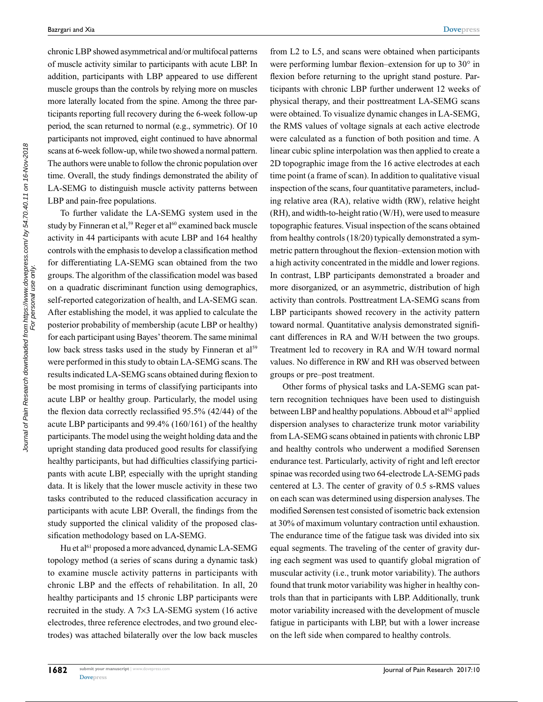chronic LBP showed asymmetrical and/or multifocal patterns of muscle activity similar to participants with acute LBP. In addition, participants with LBP appeared to use different muscle groups than the controls by relying more on muscles more laterally located from the spine. Among the three participants reporting full recovery during the 6-week follow-up period, the scan returned to normal (e.g., symmetric). Of 10 participants not improved, eight continued to have abnormal scans at 6-week follow-up, while two showed a normal pattern. The authors were unable to follow the chronic population over time. Overall, the study findings demonstrated the ability of LA-SEMG to distinguish muscle activity patterns between LBP and pain-free populations.

To further validate the LA-SEMG system used in the study by Finneran et al,<sup>59</sup> Reger et al<sup>60</sup> examined back muscle activity in 44 participants with acute LBP and 164 healthy controls with the emphasis to develop a classification method for differentiating LA-SEMG scan obtained from the two groups. The algorithm of the classification model was based on a quadratic discriminant function using demographics, self-reported categorization of health, and LA-SEMG scan. After establishing the model, it was applied to calculate the posterior probability of membership (acute LBP or healthy) for each participant using Bayes' theorem. The same minimal low back stress tasks used in the study by Finneran et al<sup>59</sup> were performed in this study to obtain LA-SEMG scans. The results indicated LA-SEMG scans obtained during flexion to be most promising in terms of classifying participants into acute LBP or healthy group. Particularly, the model using the flexion data correctly reclassified 95.5% (42/44) of the acute LBP participants and 99.4% (160/161) of the healthy participants. The model using the weight holding data and the upright standing data produced good results for classifying healthy participants, but had difficulties classifying participants with acute LBP, especially with the upright standing data. It is likely that the lower muscle activity in these two tasks contributed to the reduced classification accuracy in participants with acute LBP. Overall, the findings from the study supported the clinical validity of the proposed classification methodology based on LA-SEMG.

Hu et al<sup>61</sup> proposed a more advanced, dynamic LA-SEMG topology method (a series of scans during a dynamic task) to examine muscle activity patterns in participants with chronic LBP and the effects of rehabilitation. In all, 20 healthy participants and 15 chronic LBP participants were recruited in the study. A 7×3 LA-SEMG system (16 active electrodes, three reference electrodes, and two ground electrodes) was attached bilaterally over the low back muscles

from L2 to L5, and scans were obtained when participants were performing lumbar flexion–extension for up to 30° in flexion before returning to the upright stand posture. Participants with chronic LBP further underwent 12 weeks of physical therapy, and their posttreatment LA-SEMG scans were obtained. To visualize dynamic changes in LA-SEMG, the RMS values of voltage signals at each active electrode were calculated as a function of both position and time. A linear cubic spline interpolation was then applied to create a 2D topographic image from the 16 active electrodes at each time point (a frame of scan). In addition to qualitative visual inspection of the scans, four quantitative parameters, including relative area (RA), relative width (RW), relative height (RH), and width-to-height ratio (W/H), were used to measure topographic features. Visual inspection of the scans obtained from healthy controls (18/20) typically demonstrated a symmetric pattern throughout the flexion–extension motion with a high activity concentrated in the middle and lower regions. In contrast, LBP participants demonstrated a broader and more disorganized, or an asymmetric, distribution of high activity than controls. Posttreatment LA-SEMG scans from LBP participants showed recovery in the activity pattern toward normal. Quantitative analysis demonstrated significant differences in RA and W/H between the two groups. Treatment led to recovery in RA and W/H toward normal values. No difference in RW and RH was observed between groups or pre–post treatment.

Other forms of physical tasks and LA-SEMG scan pattern recognition techniques have been used to distinguish between LBP and healthy populations. Abboud et al<sup>62</sup> applied dispersion analyses to characterize trunk motor variability from LA-SEMG scans obtained in patients with chronic LBP and healthy controls who underwent a modified Sørensen endurance test. Particularly, activity of right and left erector spinae was recorded using two 64-electrode LA-SEMG pads centered at L3. The center of gravity of 0.5 s-RMS values on each scan was determined using dispersion analyses. The modified Sørensen test consisted of isometric back extension at 30% of maximum voluntary contraction until exhaustion. The endurance time of the fatigue task was divided into six equal segments. The traveling of the center of gravity during each segment was used to quantify global migration of muscular activity (i.e., trunk motor variability). The authors found that trunk motor variability was higher in healthy controls than that in participants with LBP. Additionally, trunk motor variability increased with the development of muscle fatigue in participants with LBP, but with a lower increase on the left side when compared to healthy controls.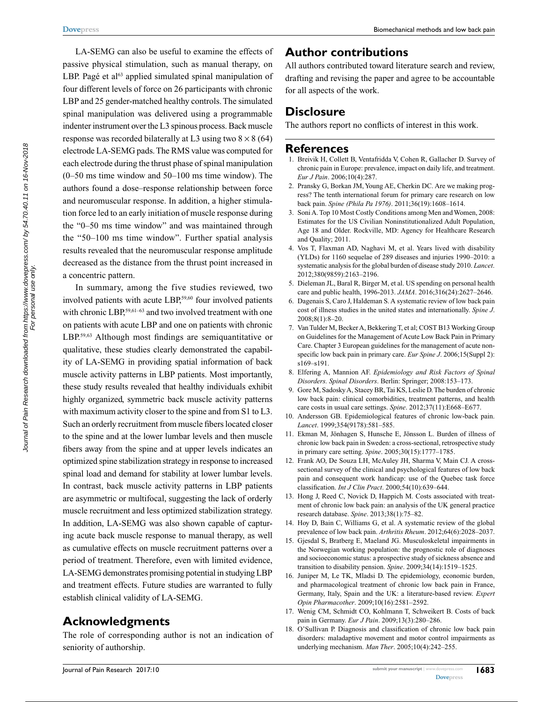LA-SEMG can also be useful to examine the effects of passive physical stimulation, such as manual therapy, on LBP. Pagé et al<sup>63</sup> applied simulated spinal manipulation of four different levels of force on 26 participants with chronic LBP and 25 gender-matched healthy controls. The simulated spinal manipulation was delivered using a programmable indenter instrument over the L3 spinous process. Back muscle response was recorded bilaterally at L3 using two  $8 \times 8$  (64) electrode LA-SEMG pads. The RMS value was computed for each electrode during the thrust phase of spinal manipulation (0–50 ms time window and 50–100 ms time window). The authors found a dose–response relationship between force and neuromuscular response. In addition, a higher stimulation force led to an early initiation of muscle response during the "0–50 ms time window" and was maintained through the "50–100 ms time window". Further spatial analysis results revealed that the neuromuscular response amplitude decreased as the distance from the thrust point increased in a concentric pattern.

In summary, among the five studies reviewed, two involved patients with acute LBP,<sup>59,60</sup> four involved patients with chronic LBP,<sup>59,61-63</sup> and two involved treatment with one on patients with acute LBP and one on patients with chronic LBP.59,63 Although most findings are semiquantitative or qualitative, these studies clearly demonstrated the capability of LA-SEMG in providing spatial information of back muscle activity patterns in LBP patients. Most importantly, these study results revealed that healthy individuals exhibit highly organized, symmetric back muscle activity patterns with maximum activity closer to the spine and from S1 to L3. Such an orderly recruitment from muscle fibers located closer to the spine and at the lower lumbar levels and then muscle fibers away from the spine and at upper levels indicates an optimized spine stabilization strategy in response to increased spinal load and demand for stability at lower lumbar levels. In contrast, back muscle activity patterns in LBP patients are asymmetric or multifocal, suggesting the lack of orderly muscle recruitment and less optimized stabilization strategy. In addition, LA-SEMG was also shown capable of capturing acute back muscle response to manual therapy, as well as cumulative effects on muscle recruitment patterns over a period of treatment. Therefore, even with limited evidence, LA-SEMG demonstrates promising potential in studying LBP and treatment effects. Future studies are warranted to fully establish clinical validity of LA-SEMG.

## **Acknowledgments**

The role of corresponding author is not an indication of seniority of authorship.

### **Author contributions**

All authors contributed toward literature search and review, drafting and revising the paper and agree to be accountable for all aspects of the work.

## **Disclosure**

The authors report no conflicts of interest in this work.

#### **References**

- 1. Breivik H, Collett B, Ventafridda V, Cohen R, Gallacher D. Survey of chronic pain in Europe: prevalence, impact on daily life, and treatment. *Eur J Pain*. 2006;10(4):287.
- 2. Pransky G, Borkan JM, Young AE, Cherkin DC. Are we making progress? The tenth international forum for primary care research on low back pain. *Spine (Phila Pa 1976)*. 2011;36(19):1608–1614.
- 3. Soni A. Top 10 Most Costly Conditions among Men and Women, 2008: Estimates for the US Civilian Noninstitutionalized Adult Population, Age 18 and Older. Rockville, MD: Agency for Healthcare Research and Quality; 2011.
- 4. Vos T, Flaxman AD, Naghavi M, et al. Years lived with disability (YLDs) for 1160 sequelae of 289 diseases and injuries 1990–2010: a systematic analysis for the global burden of disease study 2010. *Lancet*. 2012;380(9859):2163–2196.
- 5. Dieleman JL, Baral R, Birger M, et al. US spending on personal health care and public health, 1996-2013. *JAMA*. 2016;316(24):2627–2646.
- 6. Dagenais S, Caro J, Haldeman S. A systematic review of low back pain cost of illness studies in the united states and internationally. *Spine J*. 2008;8(1):8–20.
- 7. Van Tulder M, Becker A, Bekkering T, et al; COST B13 Working Group on Guidelines for the Management of Acute Low Back Pain in Primary Care. Chapter 3 European guidelines for the management of acute nonspecific low back pain in primary care. *Eur Spine J*. 2006;15(Suppl 2): s169–s191.
- 8. Elfering A, Mannion AF. *Epidemiology and Risk Factors of Spinal Disorders. Spinal Disorders*. Berlin: Springer; 2008:153–173.
- 9. Gore M, Sadosky A, Stacey BR, Tai KS, Leslie D. The burden of chronic low back pain: clinical comorbidities, treatment patterns, and health care costs in usual care settings. *Spine*. 2012;37(11):E668–E677.
- 10. Andersson GB. Epidemiological features of chronic low-back pain. *Lancet*. 1999;354(9178):581–585.
- 11. Ekman M, Jönhagen S, Hunsche E, Jönsson L. Burden of illness of chronic low back pain in Sweden: a cross-sectional, retrospective study in primary care setting. *Spine*. 2005;30(15):1777–1785.
- 12. Frank AO, De Souza LH, McAuley JH, Sharma V, Main CJ. A crosssectional survey of the clinical and psychological features of low back pain and consequent work handicap: use of the Quebec task force classification. *Int J Clin Pract*. 2000;54(10):639–644.
- 13. Hong J, Reed C, Novick D, Happich M. Costs associated with treatment of chronic low back pain: an analysis of the UK general practice research database. *Spine*. 2013;38(1):75–82.
- 14. Hoy D, Bain C, Williams G, et al. A systematic review of the global prevalence of low back pain. *Arthritis Rheum*. 2012;64(6):2028–2037.
- 15. Gjesdal S, Bratberg E, Maeland JG. Musculoskeletal impairments in the Norwegian working population: the prognostic role of diagnoses and socioeconomic status: a prospective study of sickness absence and transition to disability pension. *Spine*. 2009;34(14):1519–1525.
- 16. Juniper M, Le TK, Mladsi D. The epidemiology, economic burden, and pharmacological treatment of chronic low back pain in France, Germany, Italy, Spain and the UK: a literature-based review. *Expert Opin Pharmacother*. 2009;10(16):2581–2592.
- 17. Wenig CM, Schmidt CO, Kohlmann T, Schweikert B. Costs of back pain in Germany. *Eur J Pain*. 2009;13(3):280–286.
- 18. O'Sullivan P. Diagnosis and classification of chronic low back pain disorders: maladaptive movement and motor control impairments as underlying mechanism. *Man Ther*. 2005;10(4):242–255.

**1683**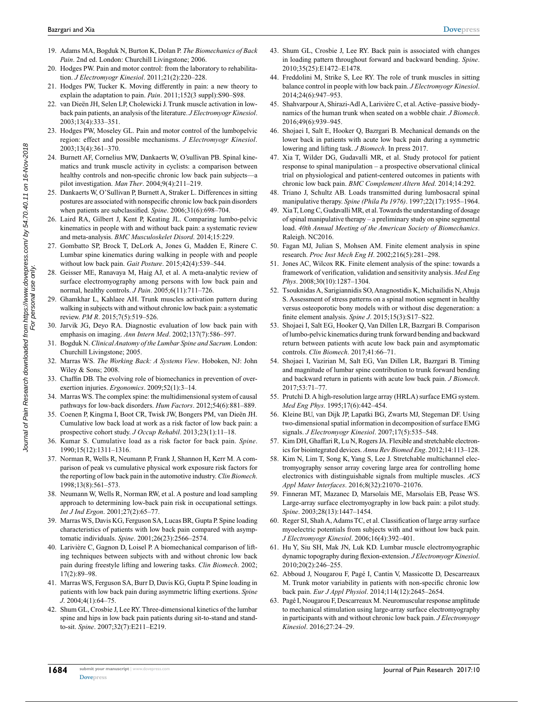- 19. Adams MA, Bogduk N, Burton K, Dolan P. *The Biomechanics of Back Pain*. 2nd ed. London: Churchill Livingstone; 2006.
- 20. Hodges PW. Pain and motor control: from the laboratory to rehabilitation. *J Electromyogr Kinesiol*. 2011;21(2):220–228.
- 21. Hodges PW, Tucker K. Moving differently in pain: a new theory to explain the adaptation to pain. *Pain*. 2011;152(3 suppl):S90–S98.
- 22. van Dieën JH, Selen LP, Cholewicki J. Trunk muscle activation in lowback pain patients, an analysis of the literature. *J Electromyogr Kinesiol*. 2003;13(4):333–351.
- 23. Hodges PW, Moseley GL. Pain and motor control of the lumbopelvic region: effect and possible mechanisms. *J Electromyogr Kinesiol*. 2003;13(4):361–370.
- 24. Burnett AF, Cornelius MW, Dankaerts W, O'sullivan PB. Spinal kinematics and trunk muscle activity in cyclists: a comparison between healthy controls and non-specific chronic low back pain subjects—a pilot investigation. *Man Ther*. 2004;9(4):211–219.
- 25. Dankaerts W, O'Sullivan P, Burnett A, Straker L. Differences in sitting postures are associated with nonspecific chronic low back pain disorders when patients are subclassified. *Spine*. 2006;31(6):698–704.
- 26. Laird RA, Gilbert J, Kent P, Keating JL. Comparing lumbo-pelvic kinematics in people with and without back pain: a systematic review and meta-analysis. *BMC Musculoskelet Disord*. 2014;15:229.
- 27. Gombatto SP, Brock T, DeLork A, Jones G, Madden E, Rinere C. Lumbar spine kinematics during walking in people with and people without low back pain. *Gait Posture*. 2015;42(4):539–544.
- 28. Geisser ME, Ranavaya M, Haig AJ, et al. A meta-analytic review of surface electromyography among persons with low back pain and normal, healthy controls. *J Pain*. 2005;6(11):711–726.
- 29. Ghamkhar L, Kahlaee AH. Trunk muscles activation pattern during walking in subjects with and without chronic low back pain: a systematic review. *PM R*. 2015;7(5):519–526.
- 30. Jarvik JG, Deyo RA. Diagnostic evaluation of low back pain with emphasis on imaging. *Ann Intern Med*. 2002;137(7):586–597.
- 31. Bogduk N. *Clinical Anatomy of the Lumbar Spine and Sacrum*. London: Churchill Livingstone; 2005.
- 32. Marras WS. *The Working Back: A Systems View*. Hoboken, NJ: John Wiley & Sons; 2008.
- 33. Chaffin DB. The evolving role of biomechanics in prevention of overexertion injuries. *Ergonomics*. 2009;52(1):3–14.
- 34. Marras WS. The complex spine: the multidimensional system of causal pathways for low-back disorders. *Hum Factors*. 2012;54(6):881–889.
- 35. Coenen P, Kingma I, Boot CR, Twisk JW, Bongers PM, van Dieën JH. Cumulative low back load at work as a risk factor of low back pain: a prospective cohort study. *J Occup Rehabil*. 2013;23(1):11–18.
- 36. Kumar S. Cumulative load as a risk factor for back pain. *Spine*. 1990;15(12):1311–1316.
- 37. Norman R, Wells R, Neumann P, Frank J, Shannon H, Kerr M. A comparison of peak vs cumulative physical work exposure risk factors for the reporting of low back pain in the automotive industry. *Clin Biomech*. 1998;13(8):561–573.
- 38. Neumann W, Wells R, Norman RW, et al. A posture and load sampling approach to determining low-back pain risk in occupational settings. *Int J Ind Ergon*. 2001;27(2):65–77.
- 39. Marras WS, Davis KG, Ferguson SA, Lucas BR, Gupta P. Spine loading characteristics of patients with low back pain compared with asymptomatic individuals. *Spine*. 2001;26(23):2566–2574.
- 40. Larivière C, Gagnon D, Loisel P. A biomechanical comparison of lifting techniques between subjects with and without chronic low back pain during freestyle lifting and lowering tasks. *Clin Biomech*. 2002;  $17(2)$ :89–98
- 41. Marras WS, Ferguson SA, Burr D, Davis KG, Gupta P. Spine loading in patients with low back pain during asymmetric lifting exertions. *Spine J*. 2004;4(1):64–75.
- 42. Shum GL, Crosbie J, Lee RY. Three-dimensional kinetics of the lumbar spine and hips in low back pain patients during sit-to-stand and standto-sit. *Spine*. 2007;32(7):E211–E219.
- 43. Shum GL, Crosbie J, Lee RY. Back pain is associated with changes in loading pattern throughout forward and backward bending. *Spine*. 2010;35(25):E1472–E1478.
- 44. Freddolini M, Strike S, Lee RY. The role of trunk muscles in sitting balance control in people with low back pain. *J Electromyogr Kinesiol*. 2014;24(6):947–953.
- 45. Shahvarpour A, Shirazi-Adl A, Larivière C, et al. Active–passive biodynamics of the human trunk when seated on a wobble chair. *J Biomech*. 2016;49(6):939–945.
- 46. Shojaei I, Salt E, Hooker Q, Bazrgari B. Mechanical demands on the lower back in patients with acute low back pain during a symmetric lowering and lifting task. *J Biomech*. In press 2017.
- 47. Xia T, Wilder DG, Gudavalli MR, et al. Study protocol for patient response to spinal manipulation – a prospective observational clinical trial on physiological and patient-centered outcomes in patients with chronic low back pain. *BMC Complement Altern Med*. 2014;14:292.
- 48. Triano J, Schultz AB. Loads transmitted during lumbosacral spinal manipulative therapy. *Spine (Phila Pa 1976)*. 1997;22(17):1955–1964.
- 49. Xia T, Long C, Gudavalli MR, et al. Towards the understanding of dosage of spinal manipulative therapy – a preliminary study on spine segmental load. *40th Annual Meeting of the American Society of Biomechanics*. Raleigh. NC2016.
- 50. Fagan MJ, Julian S, Mohsen AM. Finite element analysis in spine research. *Proc Inst Mech Eng H*. 2002;216(5):281–298.
- 51. Jones AC, Wilcox RK. Finite element analysis of the spine: towards a framework of verification, validation and sensitivity analysis. *Med Eng Phys*. 2008;30(10):1287–1304.
- 52. Tsouknidas A, Sarigiannidis SO, Anagnostidis K, Michailidis N, Ahuja S. Assessment of stress patterns on a spinal motion segment in healthy versus osteoporotic bony models with or without disc degeneration: a finite element analysis. *Spine J*. 2015;15(3):S17–S22.
- 53. Shojaei I, Salt EG, Hooker Q, Van Dillen LR, Bazrgari B. Comparison of lumbo-pelvic kinematics during trunk forward bending and backward return between patients with acute low back pain and asymptomatic controls. *Clin Biomech*. 2017;41:66–71.
- 54. Shojaei I, Vazirian M, Salt EG, Van Dillen LR, Bazrgari B. Timing and magnitude of lumbar spine contribution to trunk forward bending and backward return in patients with acute low back pain. *J Biomech*. 2017;53:71–77.
- 55. Prutchi D. A high-resolution large array (HRLA) surface EMG system. *Med Eng Phys*. 1995;17(6):442–454.
- 56. Kleine BU, van Dijk JP, Lapatki BG, Zwarts MJ, Stegeman DF. Using two-dimensional spatial information in decomposition of surface EMG signals. *J Electromyogr Kinesiol*. 2007;17(5):535–548.
- 57. Kim DH, Ghaffari R, Lu N, Rogers JA. Flexible and stretchable electronics for biointegrated devices. *Annu Rev Biomed Eng*. 2012;14:113–128.
- 58. Kim N, Lim T, Song K, Yang S, Lee J. Stretchable multichannel electromyography sensor array covering large area for controlling home electronics with distinguishable signals from multiple muscles. *ACS Appl Mater Interfaces*. 2016;8(32):21070–21076.
- 59. Finneran MT, Mazanec D, Marsolais ME, Marsolais EB, Pease WS. Large-array surface electromyography in low back pain: a pilot study. *Spine*. 2003;28(13):1447–1454.
- 60. Reger SI, Shah A, Adams TC, et al. Classification of large array surface myoelectric potentials from subjects with and without low back pain. *J Electromyogr Kinesiol*. 2006;16(4):392–401.
- 61. Hu Y, Siu SH, Mak JN, Luk KD. Lumbar muscle electromyographic dynamic topography during flexion-extension. *J Electromyogr Kinesiol*. 2010;20(2):246–255.
- 62. Abboud J, Nougarou F, Pagé I, Cantin V, Massicotte D, Descarreaux M. Trunk motor variability in patients with non-specific chronic low back pain. *Eur J Appl Physiol*. 2014;114(12):2645–2654.
- 63. Pagé I, Nougarou F, Descarreaux M. Neuromuscular response amplitude to mechanical stimulation using large-array surface electromyography in participants with and without chronic low back pain. *J Electromyogr Kinesiol*. 2016;27:24–29.